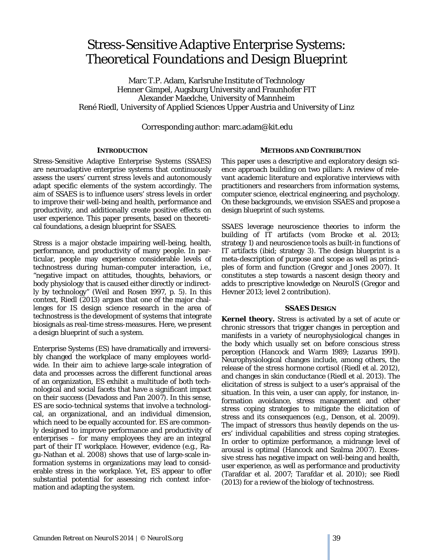# Stress-Sensitive Adaptive Enterprise Systems: Theoretical Foundations and Design Blueprint

Marc T.P. Adam, Karlsruhe Institute of Technology Henner Gimpel, Augsburg University and Fraunhofer FIT Alexander Maedche, University of Mannheim René Riedl, University of Applied Sciences Upper Austria and University of Linz

Corresponding author: marc.adam@kit.edu

## **INTRODUCTION**

Stress-Sensitive Adaptive Enterprise Systems (SSAES) are neuroadaptive enterprise systems that continuously assess the users' current stress levels and autonomously adapt specific elements of the system accordingly. The aim of SSAES is to influence users' stress levels in order to improve their well-being and health, performance and productivity, and additionally create positive effects on user experience. This paper presents, based on theoretical foundations, a design blueprint for SSAES.

Stress is a major obstacle impairing well-being, health, performance, and productivity of many people. In particular, people may experience considerable levels of technostress during human-computer interaction, i.e., "negative impact on attitudes, thoughts, behaviors, or body physiology that is caused either directly or indirectly by technology" (Weil and Rosen 1997, p. 5). In this context, Riedl (2013) argues that one of the major challenges for IS design science research in the area of technostress is the development of systems that integrate biosignals as real-time stress-measures. Here, we present a design blueprint of such a system.

Enterprise Systems (ES) have dramatically and irreversibly changed the workplace of many employees worldwide. In their aim to achieve large-scale integration of data and processes across the different functional areas of an organization, ES exhibit a multitude of both technological and social facets that have a significant impact on their success (Devadoss and Pan 2007). In this sense, ES are socio-technical systems that involve a technological, an organizational, and an individual dimension, which need to be equally accounted for. ES are commonly designed to improve performance and productivity of enterprises – for many employees they are an integral part of their IT workplace. However, evidence (e.g., Ragu-Nathan et al. 2008) shows that use of large-scale information systems in organizations may lead to considerable stress in the workplace. Yet, ES appear to offer substantial potential for assessing rich context information and adapting the system.

## **METHODS AND CONTRIBUTION**

This paper uses a descriptive and exploratory design science approach building on two pillars: A review of relevant academic literature and explorative interviews with practitioners and researchers from information systems, computer science, electrical engineering, and psychology. On these backgrounds, we envision SSAES and propose a design blueprint of such systems.

SSAES leverage neuroscience theories to inform the building of IT artifacts (vom Brocke et al. 2013; strategy 1) and neuroscience tools as built-in functions of IT artifacts (ibid; strategy 3). The design blueprint is a meta-description of purpose and scope as well as principles of form and function (Gregor and Jones 2007). It constitutes a step towards a nascent design theory and adds to prescriptive knowledge on NeuroIS (Gregor and Hevner 2013; level 2 contribution).

## **SSAES DESIGN**

**Kernel theory.** Stress is activated by a set of acute or chronic stressors that trigger changes in perception and manifests in a variety of neurophysiological changes in the body which usually set on before conscious stress perception (Hancock and Warm 1989; Lazarus 1991). Neurophysiological changes include, among others, the release of the stress hormone cortisol (Riedl et al. 2012), and changes in skin conductance (Riedl et al. 2013). The elicitation of stress is subject to a user's appraisal of the situation. In this vein, a user can apply, for instance, information avoidance, stress management and other stress coping strategies to mitigate the elicitation of stress and its consequences (e.g., Denson, et al. 2009). The impact of stressors thus heavily depends on the users' individual capabilities and stress coping strategies. In order to optimize performance, a midrange level of arousal is optimal (Hancock and Szalma 2007). Excessive stress has negative impact on well-being and health, user experience, as well as performance and productivity (Tarafdar et al. 2007; Tarafdar et al. 2010); see Riedl (2013) for a review of the biology of technostress.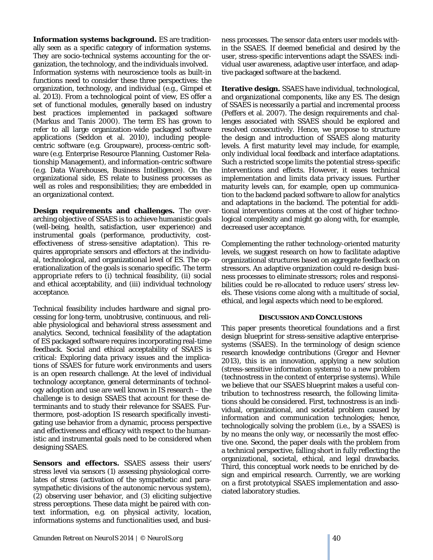**Information systems background.** ES are traditionally seen as a specific category of information systems. They are socio-technical systems accounting for the organization, the technology, and the individuals involved. Information systems with neuroscience tools as built-in functions need to consider these three perspectives: the organization, technology, and individual (e.g., Gimpel et al. 2013). From a technological point of view, ES offer a set of functional modules, generally based on industry best practices implemented in packaged software (Markus and Tanis 2000). The term ES has grown to refer to all large organization-wide packaged software applications (Seddon et al. 2010), including peoplecentric software (e.g. Groupware), process-centric software (e.g. Enterprise Resource Planning, Customer Relationship Management), and information-centric software (e.g. Data Warehouses, Business Intelligence). On the organizational side, ES relate to business processes as well as roles and responsibilities; they are embedded in an organizational context.

**Design requirements and challenges.** The overarching objective of SSAES is to achieve humanistic goals (well-being, health, satisfaction, user experience) and instrumental goals (performance, productivity, costeffectiveness of stress-sensitive adaptation). This requires appropriate sensors and effectors at the individual, technological, and organizational level of ES. The operationalization of the goals is scenario specific. The term *appropriate* refers to (i) technical feasibility, (ii) social and ethical acceptability, and (iii) individual technology acceptance.

Technical feasibility includes hardware and signal processing for long-term, unobtrusive, continuous, and reliable physiological and behavioral stress assessment and analytics. Second, technical feasibility of the adaptation of ES packaged software requires incorporating real-time feedback. Social and ethical acceptability of SSAES is critical: Exploring data privacy issues and the implications of SSAES for future work environments and users is an open research challenge. At the level of individual technology acceptance, general determinants of technology adoption and use are well known in IS research – the challenge is to design SSAES that account for these determinants and to study their relevance for SSAES. Furthermore, post-adoption IS research specifically investigating use behavior from a dynamic, process perspective and effectiveness and efficacy with respect to the humanistic and instrumental goals need to be considered when designing SSAES.

**Sensors and effectors.** SSAES assess their users' stress level via sensors (1) assessing physiological correlates of stress (activation of the sympathetic and parasympathetic divisions of the autonomic nervous system), (2) observing user behavior, and (3) eliciting subjective stress perceptions. These data might be paired with context information, e.g. on physical activity, location, informations systems and functionalities used, and business processes. The sensor data enters user models within the SSAES. If deemed beneficial and desired by the user, stress-specific interventions adapt the SSAES: individual user awareness, adaptive user interface, and adaptive packaged software at the backend.

**Iterative design.** SSAES have individual, technological, and organizational components, like any ES. The design of SSAES is necessarily a partial and incremental process (Peffers et al. 2007). The design requirements and challenges associated with SSAES should be explored and resolved consecutively. Hence, we propose to structure the design and introduction of SSAES along maturity levels. A first maturity level may include, for example, only individual local feedback and interface adaptations. Such a restricted scope limits the potential stress-specific interventions and effects. However, it eases technical implementation and limits data privacy issues. Further maturity levels can, for example, open up communication to the backend packed software to allow for analytics and adaptations in the backend. The potential for additional interventions comes at the cost of higher technological complexity and might go along with, for example, decreased user acceptance.

Complementing the rather technology-oriented maturity levels, we suggest research on how to facilitate adaptive organizational structures based on aggregate feedback on stressors. An adaptive organization could re-design business processes to eliminate stressors; roles and responsibilities could be re-allocated to reduce users' stress levels. These visions come along with a multitude of social, ethical, and legal aspects which need to be explored.

## **DISCUSSION AND CONCLUSIONS**

This paper presents theoretical foundations and a first design blueprint for stress-sensitive adaptive enterprisesystems (SSAES). In the terminology of design science research knowledge contributions (Gregor and Hevner 2013), this is an innovation, applying a new solution (stress-sensitive information systems) to a new problem (technostress in the context of enterprise systems). While we believe that our SSAES blueprint makes a useful contribution to technostress research, the following limitations should be considered. First, technostress is an individual, organizational, and societal problem caused by information and communication technologies; hence, technologically solving the problem (i.e., by a SSAES) is by no means the only way, or necessarily the most effective one. Second, the paper deals with the problem from a technical perspective, falling short in fully reflecting the organizational, societal, ethical, and legal drawbacks. Third, this conceptual work needs to be enriched by design and empirical research. Currently, we are working on a first prototypical SSAES implementation and associated laboratory studies.